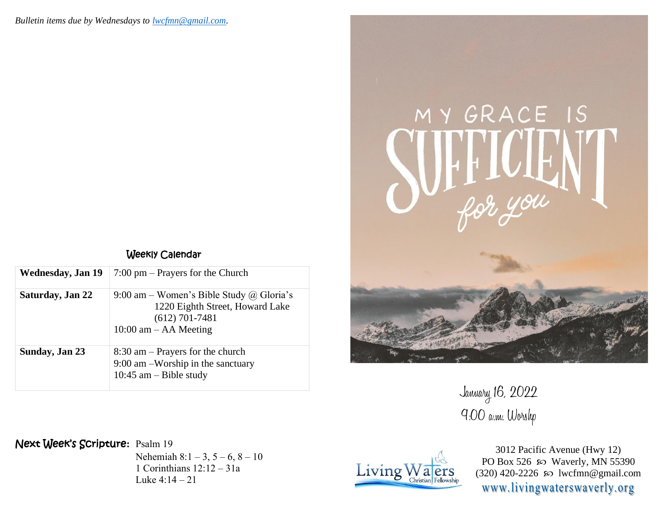|  | Weekly Calendar |
|--|-----------------|
|--|-----------------|

| Wednesday, Jan 19 | $7:00 \text{ pm}$ – Prayers for the Church                                                                                   |
|-------------------|------------------------------------------------------------------------------------------------------------------------------|
| Saturday, Jan 22  | 9:00 am – Women's Bible Study @ Gloria's<br>1220 Eighth Street, Howard Lake<br>$(612)$ 701-7481<br>$10:00$ am $-$ AA Meeting |
| Sunday, Jan 23    | $8:30$ am – Prayers for the church<br>$9:00$ am -Worship in the sanctuary<br>10:45 am $-$ Bible study                        |

Next Week's Scripture**:** Psalm 19

Nehemiah  $8:1 - 3$ ,  $5 - 6$ ,  $8 - 10$ 1 Corinthians 12:12 – 31a Luke  $4:14 - 21$ 



3012 Pacific Avenue (Hwy 12) PO Box 526  $\infty$  Waverly, MN 55390 (320) 420-2226 lwcfmn@gmail.com www.livingwaterswaverly.org



January 16, 2022 9:00 a.m. Worshp